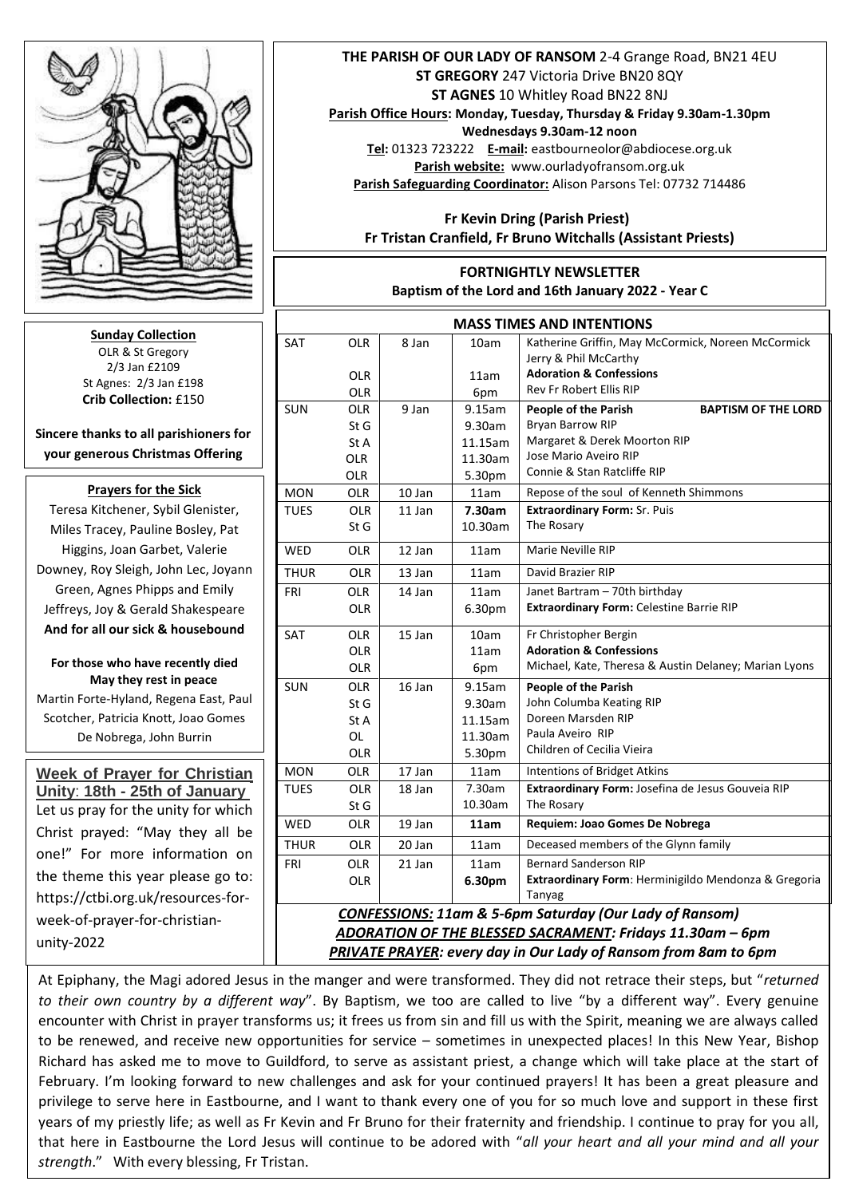

**Sunday Collection** OLR & St Gregory 2/3 Jan £2109 St Agnes: 2/3 Jan £198 **Crib Collection:** £150

**Sincere thanks to all parishioners for your generous Christmas Offering**

## **Prayers for the Sick**

Teresa Kitchener, Sybil Glenister, Miles Tracey, Pauline Bosley, Pat  Higgins, Joan Garbet, Valerie Downey, Roy Sleigh, John Lec, Joyann Green, Agnes Phipps and Emily Jeffreys, Joy & Gerald Shakespeare **And for all our sick & housebound**

## **For those who have recently died May they rest in peace**

Martin Forte-Hyland, Regena East, Paul Scotcher, Patricia Knott, Joao Gomes De Nobrega, John Burrin

**Week of Prayer for Christian Unity**: **18th - 25th of January** Let us pray for the unity for which Christ prayed: "May they all be one!" For more information on the theme this year please go to: https://ctbi.org.uk/resources-forweek-of-prayer-for-christianunity-2022

## **THE PARISH OF OUR LADY OF RANSOM** 2-4 Grange Road, BN21 4EU **ST GREGORY** 247 Victoria Drive BN20 8QY **ST AGNES** 10 Whitley Road BN22 8NJ

**Parish Office Hours: Monday, Tuesday, Thursday & Friday 9.30am-1.30pm** 

**Wednesdays 9.30am-12 noon Tel:** 01323 723222 **E-mail:** eastbourneolor@abdiocese.org.uk **Parish website:** [www.ourladyofransom.org.uk](http://www.ourladyofransom.org.uk/) **Parish Safeguarding Coordinator:** Alison Parsons Tel: 07732 714486

 **Fr Kevin Dring (Parish Priest) Fr Tristan Cranfield, Fr Bruno Witchalls (Assistant Priests)**

## **FORTNIGHTLY NEWSLETTER Baptism of the Lord and 16th January 2022 - Year C**

| <b>MASS TIMES AND INTENTIONS</b>                                   |            |        |         |                                                       |
|--------------------------------------------------------------------|------------|--------|---------|-------------------------------------------------------|
| SAT                                                                | <b>OLR</b> | 8 Jan  | 10am    | Katherine Griffin, May McCormick, Noreen McCormick    |
|                                                                    |            |        |         | Jerry & Phil McCarthy                                 |
|                                                                    | <b>OLR</b> |        | 11am    | <b>Adoration &amp; Confessions</b>                    |
|                                                                    | OLR        |        | 6pm     | <b>Rev Fr Robert Ellis RIP</b>                        |
| <b>SUN</b>                                                         | <b>OLR</b> | 9 Jan  | 9.15am  | People of the Parish<br><b>BAPTISM OF THE LORD</b>    |
|                                                                    | StG        |        | 9.30am  | <b>Bryan Barrow RIP</b>                               |
|                                                                    | St A       |        | 11.15am | Margaret & Derek Moorton RIP                          |
|                                                                    | <b>OLR</b> |        | 11.30am | Jose Mario Aveiro RIP                                 |
|                                                                    | <b>OLR</b> |        | 5.30pm  | Connie & Stan Ratcliffe RIP                           |
| <b>MON</b>                                                         | <b>OLR</b> | 10 Jan | 11am    | Repose of the soul of Kenneth Shimmons                |
| <b>TUES</b>                                                        | <b>OLR</b> | 11 Jan | 7.30am  | <b>Extraordinary Form: Sr. Puis</b>                   |
|                                                                    | St G       |        | 10.30am | The Rosary                                            |
| WED                                                                | <b>OLR</b> | 12 Jan | 11am    | Marie Neville RIP                                     |
| <b>THUR</b>                                                        | <b>OLR</b> | 13 Jan | 11am    | David Brazier RIP                                     |
| FRI                                                                | OLR        | 14 Jan | 11am    | Janet Bartram - 70th birthday                         |
|                                                                    | <b>OLR</b> |        | 6.30pm  | Extraordinary Form: Celestine Barrie RIP              |
| SAT                                                                | <b>OLR</b> | 15 Jan | 10am    | Fr Christopher Bergin                                 |
|                                                                    | <b>OLR</b> |        | 11am    | <b>Adoration &amp; Confessions</b>                    |
|                                                                    | <b>OLR</b> |        | 6pm     | Michael, Kate, Theresa & Austin Delaney; Marian Lyons |
| <b>SUN</b>                                                         | <b>OLR</b> | 16 Jan | 9.15am  | People of the Parish                                  |
|                                                                    | St G       |        | 9.30am  | John Columba Keating RIP                              |
|                                                                    | St A       |        | 11.15am | Doreen Marsden RIP                                    |
|                                                                    | OL         |        | 11.30am | Paula Aveiro RIP                                      |
|                                                                    | <b>OLR</b> |        | 5.30pm  | Children of Cecilia Vieira                            |
| <b>MON</b>                                                         | <b>OLR</b> | 17 Jan | 11am    | Intentions of Bridget Atkins                          |
| <b>TUES</b>                                                        | <b>OLR</b> | 18 Jan | 7.30am  | Extraordinary Form: Josefina de Jesus Gouveia RIP     |
|                                                                    | St G       |        | 10.30am | The Rosary                                            |
| <b>WED</b>                                                         | <b>OLR</b> | 19 Jan | 11am    | Requiem: Joao Gomes De Nobrega                        |
| <b>THUR</b>                                                        | <b>OLR</b> | 20 Jan | 11am    | Deceased members of the Glynn family                  |
| FRI                                                                | <b>OLR</b> | 21 Jan | 11am    | <b>Bernard Sanderson RIP</b>                          |
|                                                                    | <b>OLR</b> |        | 6.30pm  | Extraordinary Form: Herminigildo Mendonza & Gregoria  |
|                                                                    |            |        |         | Tanyag                                                |
| <b>CONFESSIONS: 11am &amp; 5-6pm Saturday (Our Lady of Ransom)</b> |            |        |         |                                                       |
| ADORATION OF THE BLESSED SACRAMENT: Fridays 11.30am - 6pm          |            |        |         |                                                       |

*PRIVATE PRAYER: every day in Our Lady of Ransom from 8am to 6pm* 

At Epiphany, the Magi adored Jesus in the manger and were transformed. They did not retrace their steps, but "*returned to their own country by a different way*". By Baptism, we too are called to live "by a different way". Every genuine  encounter with Christ in prayer transforms us; it frees us from sin and fill us with the Spirit, meaning we are always called to be renewed, and receive new opportunities for service – sometimes in unexpected places! In this New Year, Bishop Richard has asked me to move to Guildford, to serve as assistant priest, a change which will take place at the start of February. I'm looking forward to new challenges and ask for your continued prayers! It has been a great pleasure and privilege to serve here in Eastbourne, and I want to thank every one of you for so much love and support in these first years of my priestly life; as well as Fr Kevin and Fr Bruno for their fraternity and friendship. I continue to pray for you all, that here in Eastbourne the Lord Jesus will continue to be adored with "*all your heart and all your mind and all your strength*." With every blessing, Fr Tristan.